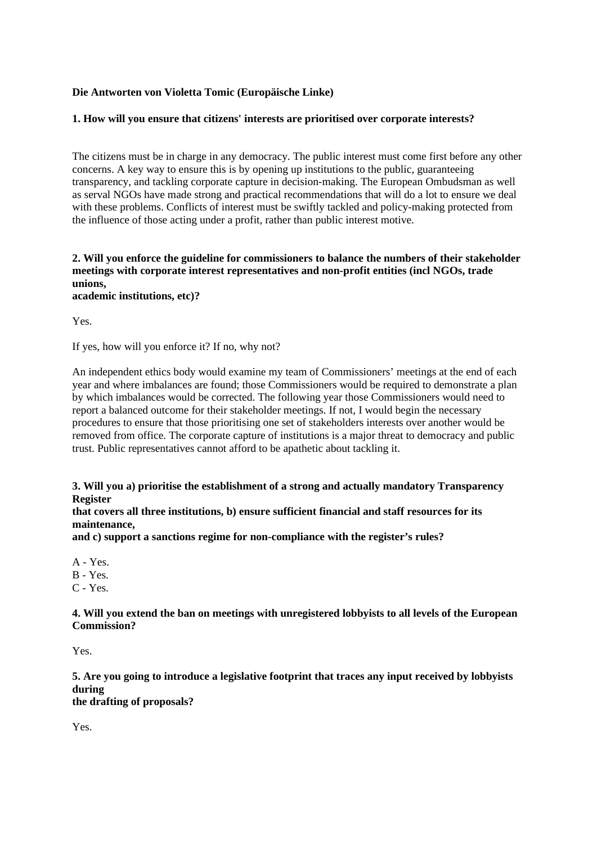## **Die Antworten von Violetta Tomic (Europäische Linke)**

### **1. How will you ensure that citizens' interests are prioritised over corporate interests?**

The citizens must be in charge in any democracy. The public interest must come first before any other concerns. A key way to ensure this is by opening up institutions to the public, guaranteeing transparency, and tackling corporate capture in decision-making. The European Ombudsman as well as serval NGOs have made strong and practical recommendations that will do a lot to ensure we deal with these problems. Conflicts of interest must be swiftly tackled and policy-making protected from the influence of those acting under a profit, rather than public interest motive.

#### **2. Will you enforce the guideline for commissioners to balance the numbers of their stakeholder meetings with corporate interest representatives and non-profit entities (incl NGOs, trade unions, academic institutions, etc)?**

Yes.

If yes, how will you enforce it? If no, why not?

An independent ethics body would examine my team of Commissioners' meetings at the end of each year and where imbalances are found; those Commissioners would be required to demonstrate a plan by which imbalances would be corrected. The following year those Commissioners would need to report a balanced outcome for their stakeholder meetings. If not, I would begin the necessary procedures to ensure that those prioritising one set of stakeholders interests over another would be removed from office. The corporate capture of institutions is a major threat to democracy and public trust. Public representatives cannot afford to be apathetic about tackling it.

#### **3. Will you a) prioritise the establishment of a strong and actually mandatory Transparency Register**

**that covers all three institutions, b) ensure sufficient financial and staff resources for its maintenance,**

**and c) support a sanctions regime for non-compliance with the register's rules?**

A - Yes. B - Yes. C - Yes.

**4. Will you extend the ban on meetings with unregistered lobbyists to all levels of the European Commission?**

Yes.

**5. Are you going to introduce a legislative footprint that traces any input received by lobbyists during**

**the drafting of proposals?**

Yes.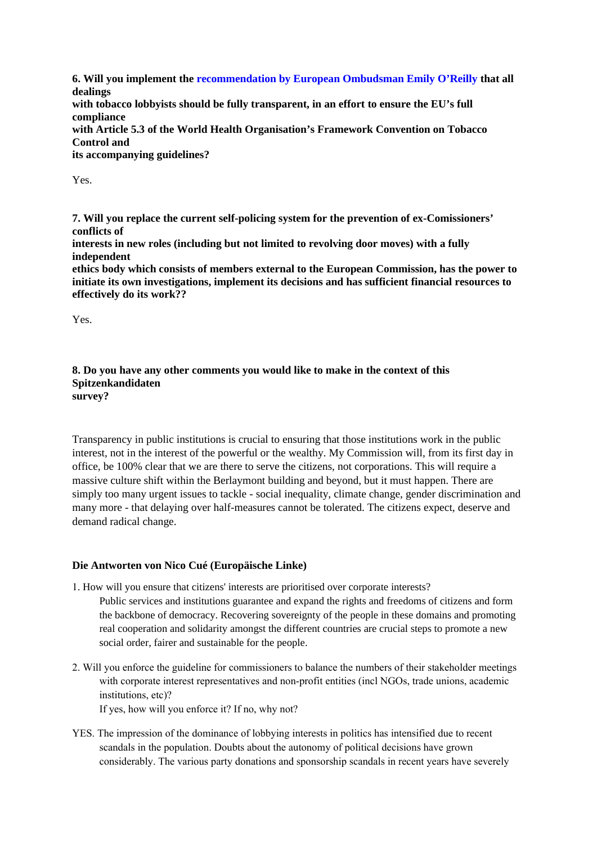**6. Will you implement the recommendation by European Ombudsman Emily O'Reilly that all dealings with tobacco lobbyists should be fully transparent, in an effort to ensure the EU's full compliance with Article 5.3 of the World Health Organisation's Framework Convention on Tobacco Control and its accompanying guidelines?**

Yes.

**7. Will you replace the current self-policing system for the prevention of ex-Comissioners' conflicts of**

**interests in new roles (including but not limited to revolving door moves) with a fully independent**

**ethics body which consists of members external to the European Commission, has the power to initiate its own investigations, implement its decisions and has sufficient financial resources to effectively do its work??**

Yes.

#### **8. Do you have any other comments you would like to make in the context of this Spitzenkandidaten survey?**

Transparency in public institutions is crucial to ensuring that those institutions work in the public interest, not in the interest of the powerful or the wealthy. My Commission will, from its first day in office, be 100% clear that we are there to serve the citizens, not corporations. This will require a massive culture shift within the Berlaymont building and beyond, but it must happen. There are simply too many urgent issues to tackle - social inequality, climate change, gender discrimination and many more - that delaying over half-measures cannot be tolerated. The citizens expect, deserve and demand radical change.

# **Die Antworten von Nico Cué (Europäische Linke)**

- 1. How will you ensure that citizens' interests are prioritised over corporate interests? Public services and institutions guarantee and expand the rights and freedoms of citizens and form the backbone of democracy. Recovering sovereignty of the people in these domains and promoting real cooperation and solidarity amongst the different countries are crucial steps to promote a new social order, fairer and sustainable for the people.
- 2. Will you enforce the guideline for commissioners to balance the numbers of their stakeholder meetings with corporate interest representatives and non-profit entities (incl NGOs, trade unions, academic institutions, etc)?

If yes, how will you enforce it? If no, why not?

YES. The impression of the dominance of lobbying interests in politics has intensified due to recent scandals in the population. Doubts about the autonomy of political decisions have grown considerably. The various party donations and sponsorship scandals in recent years have severely